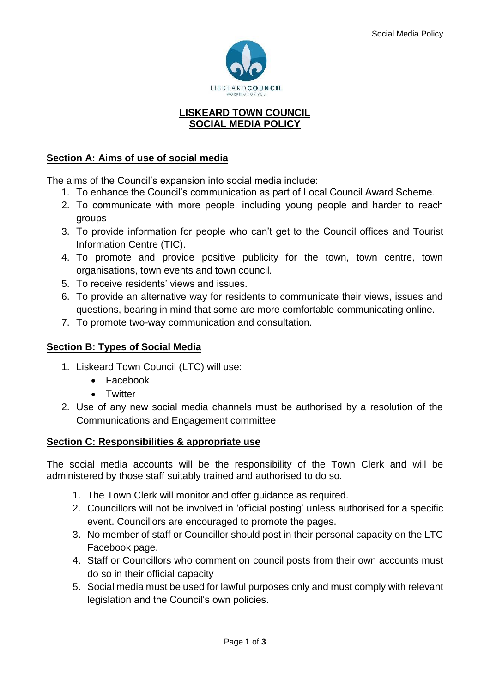

#### **LISKEARD TOWN COUNCIL SOCIAL MEDIA POLICY**

# **Section A: Aims of use of social media**

The aims of the Council's expansion into social media include:

- 1. To enhance the Council's communication as part of Local Council Award Scheme.
- 2. To communicate with more people, including young people and harder to reach groups
- 3. To provide information for people who can't get to the Council offices and Tourist Information Centre (TIC).
- 4. To promote and provide positive publicity for the town, town centre, town organisations, town events and town council.
- 5. To receive residents' views and issues.
- 6. To provide an alternative way for residents to communicate their views, issues and questions, bearing in mind that some are more comfortable communicating online.
- 7. To promote two-way communication and consultation.

## **Section B: Types of Social Media**

- 1. Liskeard Town Council (LTC) will use:
	- Facebook
	- Twitter
- 2. Use of any new social media channels must be authorised by a resolution of the Communications and Engagement committee

### **Section C: Responsibilities & appropriate use**

The social media accounts will be the responsibility of the Town Clerk and will be administered by those staff suitably trained and authorised to do so.

- 1. The Town Clerk will monitor and offer guidance as required.
- 2. Councillors will not be involved in 'official posting' unless authorised for a specific event. Councillors are encouraged to promote the pages.
- 3. No member of staff or Councillor should post in their personal capacity on the LTC Facebook page.
- 4. Staff or Councillors who comment on council posts from their own accounts must do so in their official capacity
- 5. Social media must be used for lawful purposes only and must comply with relevant legislation and the Council's own policies.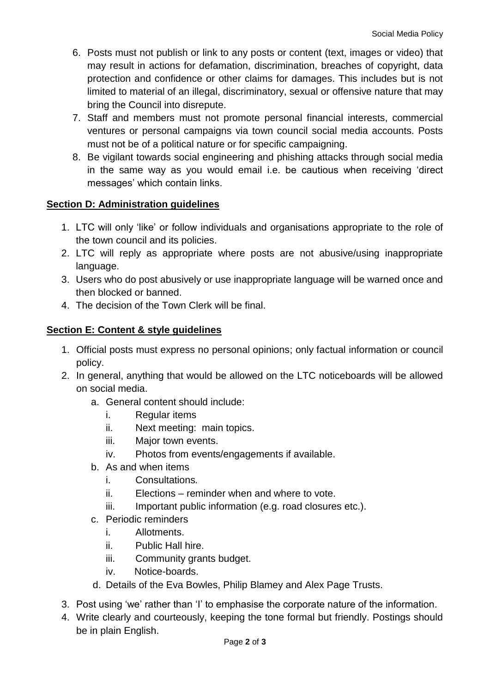- 6. Posts must not publish or link to any posts or content (text, images or video) that may result in actions for defamation, discrimination, breaches of copyright, data protection and confidence or other claims for damages. This includes but is not limited to material of an illegal, discriminatory, sexual or offensive nature that may bring the Council into disrepute.
- 7. Staff and members must not promote personal financial interests, commercial ventures or personal campaigns via town council social media accounts. Posts must not be of a political nature or for specific campaigning.
- 8. Be vigilant towards social engineering and phishing attacks through social media in the same way as you would email i.e. be cautious when receiving 'direct messages' which contain links.

### **Section D: Administration guidelines**

- 1. LTC will only 'like' or follow individuals and organisations appropriate to the role of the town council and its policies.
- 2. LTC will reply as appropriate where posts are not abusive/using inappropriate language.
- 3. Users who do post abusively or use inappropriate language will be warned once and then blocked or banned.
- 4. The decision of the Town Clerk will be final.

# **Section E: Content & style guidelines**

- 1. Official posts must express no personal opinions; only factual information or council policy.
- 2. In general, anything that would be allowed on the LTC noticeboards will be allowed on social media.
	- a. General content should include:
		- i. Regular items
		- ii. Next meeting: main topics.
		- iii. Major town events.
		- iv. Photos from events/engagements if available.
	- b. As and when items
		- i. Consultations*.*
		- ii. Elections reminder when and where to vote.
		- iii. Important public information (e.g. road closures etc.).
	- c. Periodic reminders
		- i. Allotments.
		- ii. Public Hall hire.
		- iii. Community grants budget.
		- iv. Notice-boards.
	- d. Details of the Eva Bowles, Philip Blamey and Alex Page Trusts.
- 3. Post using 'we' rather than 'I' to emphasise the corporate nature of the information.
- 4. Write clearly and courteously, keeping the tone formal but friendly. Postings should be in plain English.